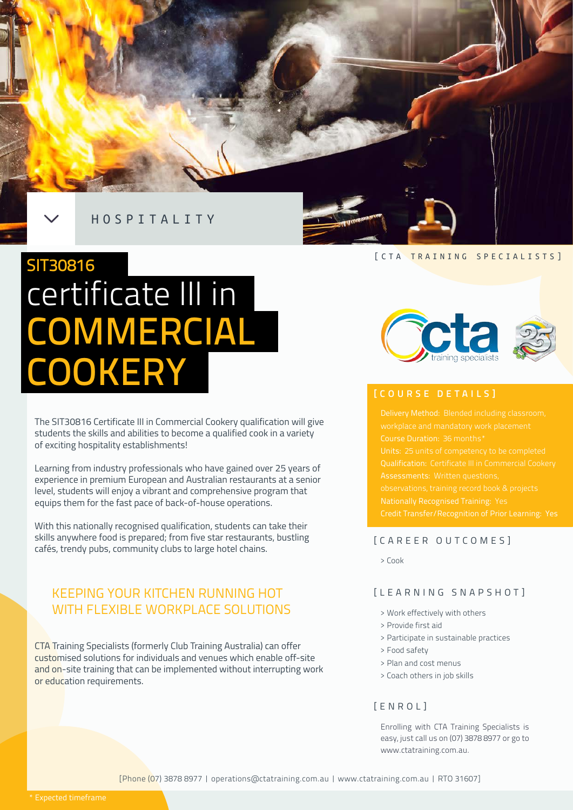

# certificate III in COMMERCIAL SIT30816 COOKERY

The SIT30816 Certificate III in Commercial Cookery qualification will give students the skills and abilities to become a qualified cook in a variety of exciting hospitality establishments!

Learning from industry professionals who have gained over 25 years of experience in premium European and Australian restaurants at a senior level, students will enjoy a vibrant and comprehensive program that equips them for the fast pace of back-of-house operations.

With this nationally recognised qualification, students can take their skills anywhere food is prepared; from five star restaurants, bustling cafés, trendy pubs, community clubs to large hotel chains.

## KEEPING YOUR KITCHEN RUNNING HOT WITH FLEXIBLE WORKPLACE SOLUTIONS

CTA Training Specialists (formerly Club Training Australia) can offer customised solutions for individuals and venues which enable off-site and on-site training that can be implemented without interrupting work or education requirements.

[CTA TRAINING SPECIALISTS]



## **[COURSE DETAILS]**

Course Duration: 36 months\* Qualification: Certificate III in Commercial Cookery Nationally Recognised Training: Yes

## [CAREER OUTCOMES]

> Cook

### [LEARNING SNAPSHOT]

- > Work effectively with others
- > Provide first aid
- > Participate in sustainable practices
- > Food safety
- > Plan and cost menus
- > Coach others in job skills

## [ENROL]

Enrolling with CTA Training Specialists is easy, just call us on (07) 3878 8977 or go to www.ctatraining.com.au.